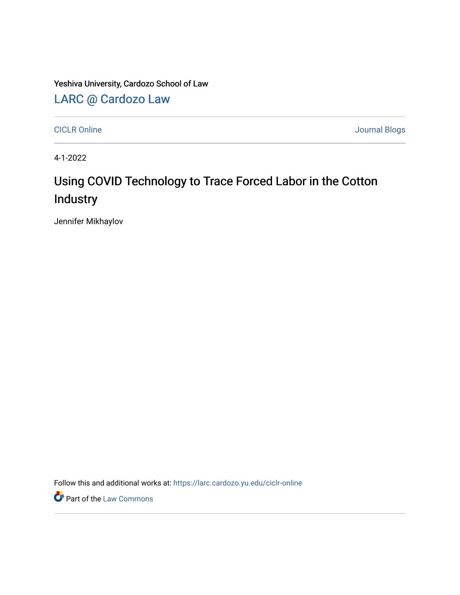Yeshiva University, Cardozo School of Law

[LARC @ Cardozo Law](https://larc.cardozo.yu.edu/)

[CICLR Online](https://larc.cardozo.yu.edu/ciclr-online) Journal Blogs

4-1-2022

## Using COVID Technology to Trace Forced Labor in the Cotton **Industry**

Jennifer Mikhaylov

Follow this and additional works at: [https://larc.cardozo.yu.edu/ciclr-online](https://larc.cardozo.yu.edu/ciclr-online?utm_source=larc.cardozo.yu.edu%2Fciclr-online%2F45&utm_medium=PDF&utm_campaign=PDFCoverPages) 

**Part of the [Law Commons](http://network.bepress.com/hgg/discipline/578?utm_source=larc.cardozo.yu.edu%2Fciclr-online%2F45&utm_medium=PDF&utm_campaign=PDFCoverPages)**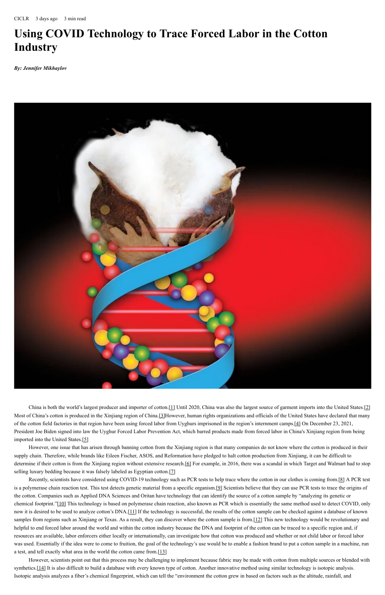CICLR 3 days ago 3 min read

## **Using COVID Technology to Trace Forced Labor in the Cotton Industry**

*By: Jennifer Mikhaylov*



However, one issue that has arisen through banning cotton from the Xinjiang region is that many companies do not know where the cotton is produced in their supply chain. Therefore, while brands like Eileen Fischer, ASOS, and Reformation have pledged to halt cotton production from Xinjiang, it can be difficult to determine if their cotton is from the Xinjiang region without extensive research.[6] For example, in 2016, there was a scandal in which Target and Walmart had to stop selling luxury bedding because it was falsely labeled as Egyptian cotton.[7]

China is both the world's largest producer and importer of cotton.[1] Until 2020, China was also the largest source of garment imports into the United States.[2] Most of China's cotton is produced in the Xinjiang region of China.[3]However, human rights organizations and officials of the United States have declared that many of the cotton field factories in that region have been using forced labor from Uyghurs imprisoned in the region's internment camps.[4] On December 23, 2021, President Joe Biden signed into law the Uyghur Forced Labor Prevention Act, which barred products made from forced labor in China's Xinjiang region from being

imported into the United States.[5]

Recently, scientists have considered using COVID-19 technology such as PCR tests to help trace where the cotton in our clothes is coming from.[8] A PCR test is a polymerase chain reaction test. This test detects genetic material from a specific organism.[9] Scientists believe that they can use PCR tests to trace the origins of the cotton. Companies such as Applied DNA Sciences and Oritan have technology that can identify the source of a cotton sample by "analyzing its genetic or chemical footprint."[10] This technology is based on polymerase chain reaction, also known as PCR which is essentially the same method used to detect COVID, only now it is desired to be used to analyze cotton's DNA.[11] If the technology is successful, the results of the cotton sample can be checked against a database of known samples from regions such as Xinjiang or Texas. As a result, they can discover where the cotton sample is from.[12] This new technology would be revolutionary and helpful to end forced labor around the world and within the cotton industry because the DNA and footprint of the cotton can be traced to a specific region and, if resources are available, labor enforcers either locally or internationally, can investigate how that cotton was produced and whether or not child labor or forced labor was used. Essentially if the idea were to come to fruition, the goal of the technology's use would be to enable a fashion brand to put a cotton sample in a machine, run a test, and tell exactly what area in the world the cotton came from.[13]

However, scientists point out that this process may be challenging to implement because fabric may be made with cotton from multiple sources or blended with synthetics. $[14]$  It is also difficult to build a database with every known type of cotton. Another innovative method using similar technology is isotopic analysis. Isotopic analysis analyzes a fiber's chemical fingerprint, which can tell the "environment the cotton grew in based on factors such as the altitude, rainfall, and